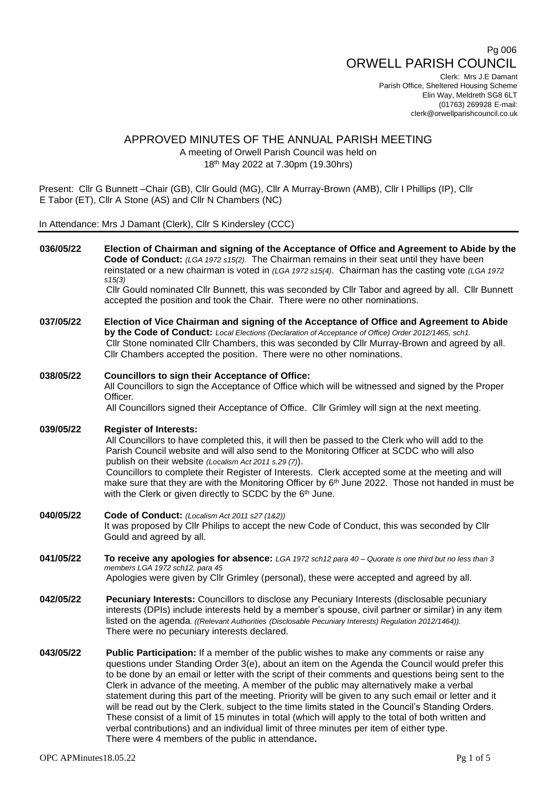# Pg 006 ORWELL PARISH COUNCIL

Clerk: Mrs J.E Damant Parish Office, Sheltered Housing Scheme Elin Way, Meldreth SG8 6LT (01763) 269928 E-mail: clerk@orwellparishcouncil.co.uk

## APPROVED MINUTES OF THE ANNUAL PARISH MEETING A meeting of Orwell Parish Council was held on 18 th May 2022 at 7.30pm (19.30hrs)

Present: Cllr G Bunnett –Chair (GB), Cllr Gould (MG), Cllr A Murray-Brown (AMB), Cllr I Phillips (IP), Cllr E Tabor (ET), Cllr A Stone (AS) and Cllr N Chambers (NC)

In Attendance: Mrs J Damant (Clerk), Cllr S Kindersley (CCC)

| 036/05/22 | Election of Chairman and signing of the Acceptance of Office and Agreement to Abide by the<br>Code of Conduct: (LGA 1972 s15(2). The Chairman remains in their seat until they have been<br>reinstated or a new chairman is voted in $(LGA 1972 s15/4)$ . Chairman has the casting vote $(LGA 1972 s15/4)$<br>s15(3)                                                                                                                                                                                                                                                                                                                                                                                                                                                                                                                                                   |
|-----------|------------------------------------------------------------------------------------------------------------------------------------------------------------------------------------------------------------------------------------------------------------------------------------------------------------------------------------------------------------------------------------------------------------------------------------------------------------------------------------------------------------------------------------------------------------------------------------------------------------------------------------------------------------------------------------------------------------------------------------------------------------------------------------------------------------------------------------------------------------------------|
|           | Cllr Gould nominated Cllr Bunnett, this was seconded by Cllr Tabor and agreed by all. Cllr Bunnett<br>accepted the position and took the Chair. There were no other nominations.                                                                                                                                                                                                                                                                                                                                                                                                                                                                                                                                                                                                                                                                                       |
| 037/05/22 | Election of Vice Chairman and signing of the Acceptance of Office and Agreement to Abide<br>by the Code of Conduct: Local Elections (Declaration of Acceptance of Office) Order 2012/1465, sch1.<br>Cllr Stone nominated Cllr Chambers, this was seconded by Cllr Murray-Brown and agreed by all.<br>Cllr Chambers accepted the position. There were no other nominations.                                                                                                                                                                                                                                                                                                                                                                                                                                                                                             |
| 038/05/22 | <b>Councillors to sign their Acceptance of Office:</b><br>All Councillors to sign the Acceptance of Office which will be witnessed and signed by the Proper<br>Officer.<br>All Councillors signed their Acceptance of Office. Cllr Grimley will sign at the next meeting.                                                                                                                                                                                                                                                                                                                                                                                                                                                                                                                                                                                              |
| 039/05/22 | <b>Register of Interests:</b><br>All Councillors to have completed this, it will then be passed to the Clerk who will add to the<br>Parish Council website and will also send to the Monitoring Officer at SCDC who will also<br>publish on their website (Localism Act 2011 s.29 (7)).<br>Councillors to complete their Register of Interests. Clerk accepted some at the meeting and will<br>make sure that they are with the Monitoring Officer by $6th$ June 2022. Those not handed in must be<br>with the Clerk or given directly to SCDC by the 6th June.                                                                                                                                                                                                                                                                                                        |
| 040/05/22 | Code of Conduct: (Localism Act 2011 s27 (1&2))<br>It was proposed by Cllr Philips to accept the new Code of Conduct, this was seconded by Cllr<br>Gould and agreed by all.                                                                                                                                                                                                                                                                                                                                                                                                                                                                                                                                                                                                                                                                                             |
| 041/05/22 | To receive any apologies for absence: LGA 1972 sch12 para 40 - Quorate is one third but no less than 3<br>members LGA 1972 sch12, para 45<br>Apologies were given by Cllr Grimley (personal), these were accepted and agreed by all.                                                                                                                                                                                                                                                                                                                                                                                                                                                                                                                                                                                                                                   |
| 042/05/22 | Pecuniary Interests: Councillors to disclose any Pecuniary Interests (disclosable pecuniary<br>interests (DPIs) include interests held by a member's spouse, civil partner or similar) in any item<br>listed on the agenda. ((Relevant Authorities (Disclosable Pecuniary Interests) Regulation 2012/1464)).<br>There were no pecuniary interests declared.                                                                                                                                                                                                                                                                                                                                                                                                                                                                                                            |
| 043/05/22 | <b>Public Participation:</b> If a member of the public wishes to make any comments or raise any<br>questions under Standing Order 3(e), about an item on the Agenda the Council would prefer this<br>to be done by an email or letter with the script of their comments and questions being sent to the<br>Clerk in advance of the meeting. A member of the public may alternatively make a verbal<br>statement during this part of the meeting. Priority will be given to any such email or letter and it<br>will be read out by the Clerk, subject to the time limits stated in the Council's Standing Orders.<br>These consist of a limit of 15 minutes in total (which will apply to the total of both written and<br>verbal contributions) and an individual limit of three minutes per item of either type.<br>There were 4 members of the public in attendance. |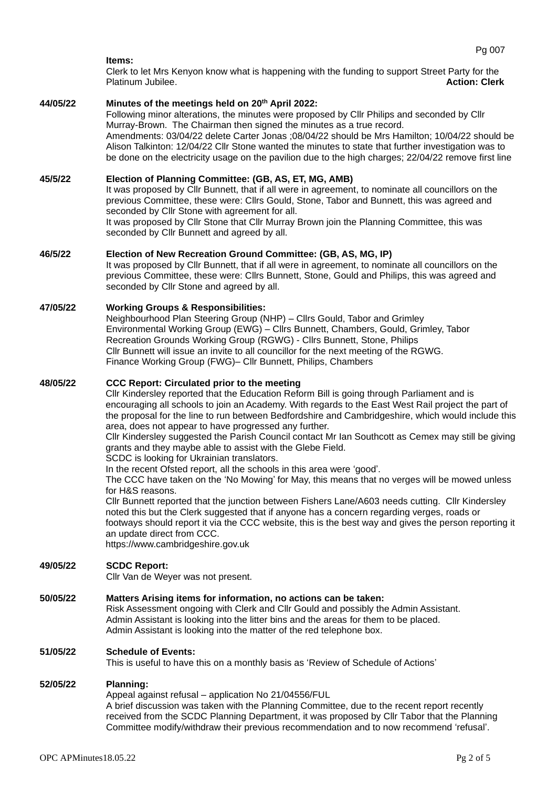#### **Items:**

Clerk to let Mrs Kenyon know what is happening with the funding to support Street Party for the Platinum Jubilee. **Action: Clerk**

## **44/05/22 Minutes of the meetings held on 20th April 2022:**

Following minor alterations, the minutes were proposed by Cllr Philips and seconded by Cllr Murray-Brown. The Chairman then signed the minutes as a true record. Amendments: 03/04/22 delete Carter Jonas ;08/04/22 should be Mrs Hamilton; 10/04/22 should be Alison Talkinton: 12/04/22 Cllr Stone wanted the minutes to state that further investigation was to be done on the electricity usage on the pavilion due to the high charges; 22/04/22 remove first line

## **45/5/22 Election of Planning Committee: (GB, AS, ET, MG, AMB)**

It was proposed by Cllr Bunnett, that if all were in agreement, to nominate all councillors on the previous Committee, these were: Cllrs Gould, Stone, Tabor and Bunnett, this was agreed and seconded by Cllr Stone with agreement for all. It was proposed by Cllr Stone that Cllr Murray Brown join the Planning Committee, this was

seconded by Cllr Bunnett and agreed by all.

#### **46/5/22 Election of New Recreation Ground Committee: (GB, AS, MG, IP)**

It was proposed by Cllr Bunnett, that if all were in agreement, to nominate all councillors on the previous Committee, these were: Cllrs Bunnett, Stone, Gould and Philips, this was agreed and seconded by Cllr Stone and agreed by all.

## **47/05/22 Working Groups & Responsibilities:**

Neighbourhood Plan Steering Group (NHP) – Cllrs Gould, Tabor and Grimley Environmental Working Group (EWG) – Cllrs Bunnett, Chambers, Gould, Grimley, Tabor Recreation Grounds Working Group (RGWG) - Cllrs Bunnett, Stone, Philips Cllr Bunnett will issue an invite to all councillor for the next meeting of the RGWG. Finance Working Group (FWG)– Cllr Bunnett, Philips, Chambers

## **48/05/22 CCC Report: Circulated prior to the meeting**

Cllr Kindersley reported that the Education Reform Bill is going through Parliament and is encouraging all schools to join an Academy. With regards to the East West Rail project the part of the proposal for the line to run between Bedfordshire and Cambridgeshire, which would include this area, does not appear to have progressed any further.

Cllr Kindersley suggested the Parish Council contact Mr Ian Southcott as Cemex may still be giving grants and they maybe able to assist with the Glebe Field.

SCDC is looking for Ukrainian translators.

In the recent Ofsted report, all the schools in this area were 'good'.

The CCC have taken on the 'No Mowing' for May, this means that no verges will be mowed unless for H&S reasons.

Cllr Bunnett reported that the junction between Fishers Lane/A603 needs cutting. Cllr Kindersley noted this but the Clerk suggested that if anyone has a concern regarding verges, roads or footways should report it via the CCC website, this is the best way and gives the person reporting it an update direct from CCC.

[https://www.cambridgeshire.gov.uk](https://www.cambridgeshire.gov.uk/)

#### **49/05/22 SCDC Report:**

Cllr Van de Weyer was not present.

## **50/05/22 Matters Arising items for information, no actions can be taken:**

Risk Assessment ongoing with Clerk and Cllr Gould and possibly the Admin Assistant. Admin Assistant is looking into the litter bins and the areas for them to be placed. Admin Assistant is looking into the matter of the red telephone box.

## **51/05/22 Schedule of Events:**

This is useful to have this on a monthly basis as 'Review of Schedule of Actions'

#### **52/05/22 Planning:**

Appeal against refusal – application No 21/04556/FUL

A brief discussion was taken with the Planning Committee, due to the recent report recently received from the SCDC Planning Department, it was proposed by Cllr Tabor that the Planning Committee modify/withdraw their previous recommendation and to now recommend 'refusal'.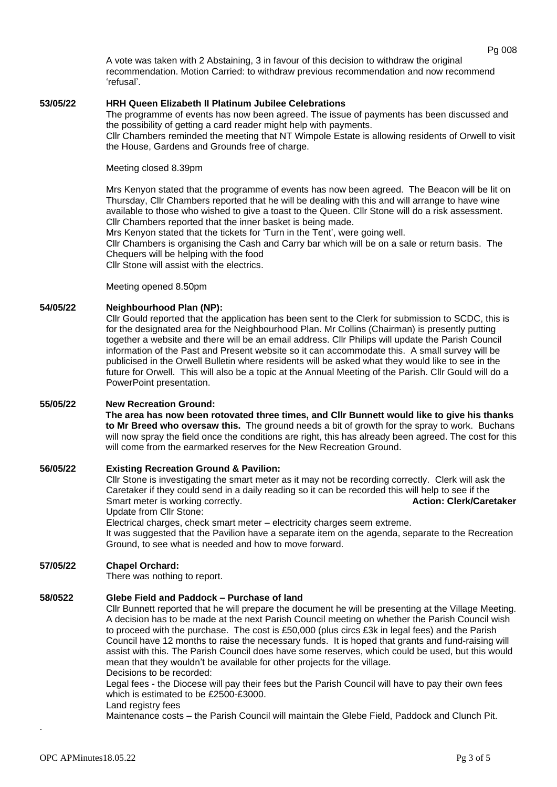A vote was taken with 2 Abstaining, 3 in favour of this decision to withdraw the original recommendation. Motion Carried: to withdraw previous recommendation and now recommend 'refusal'.

## **53/05/22 HRH Queen Elizabeth II Platinum Jubilee Celebrations**

The programme of events has now been agreed. The issue of payments has been discussed and the possibility of getting a card reader might help with payments.

Cllr Chambers reminded the meeting that NT Wimpole Estate is allowing residents of Orwell to visit the House, Gardens and Grounds free of charge.

Meeting closed 8.39pm

Mrs Kenyon stated that the programme of events has now been agreed. The Beacon will be lit on Thursday, Cllr Chambers reported that he will be dealing with this and will arrange to have wine available to those who wished to give a toast to the Queen. Cllr Stone will do a risk assessment. Cllr Chambers reported that the inner basket is being made.

Mrs Kenyon stated that the tickets for 'Turn in the Tent', were going well.

Cllr Chambers is organising the Cash and Carry bar which will be on a sale or return basis. The Chequers will be helping with the food

Cllr Stone will assist with the electrics.

Meeting opened 8.50pm

## **54/05/22 Neighbourhood Plan (NP):**

Cllr Gould reported that the application has been sent to the Clerk for submission to SCDC, this is for the designated area for the Neighbourhood Plan. Mr Collins (Chairman) is presently putting together a website and there will be an email address. Cllr Philips will update the Parish Council information of the Past and Present website so it can accommodate this. A small survey will be publicised in the Orwell Bulletin where residents will be asked what they would like to see in the future for Orwell. This will also be a topic at the Annual Meeting of the Parish. Cllr Gould will do a PowerPoint presentation.

## **55/05/22 New Recreation Ground:**

**The area has now been rotovated three times, and Cllr Bunnett would like to give his thanks to Mr Breed who oversaw this.** The ground needs a bit of growth for the spray to work. Buchans will now spray the field once the conditions are right, this has already been agreed. The cost for this will come from the earmarked reserves for the New Recreation Ground.

## **56/05/22 Existing Recreation Ground & Pavilion:**

Cllr Stone is investigating the smart meter as it may not be recording correctly. Clerk will ask the Caretaker if they could send in a daily reading so it can be recorded this will help to see if the Smart meter is working correctly. **Action: Clerk/Caretaker Action: Clerk/Caretaker** 

Update from Cllr Stone:

Electrical charges, check smart meter – electricity charges seem extreme.

It was suggested that the Pavilion have a separate item on the agenda, separate to the Recreation Ground, to see what is needed and how to move forward.

## **57/05/22 Chapel Orchard:**

There was nothing to report.

## **58/0522 Glebe Field and Paddock – Purchase of land**

Cllr Bunnett reported that he will prepare the document he will be presenting at the Village Meeting. A decision has to be made at the next Parish Council meeting on whether the Parish Council wish to proceed with the purchase. The cost is £50,000 (plus circs £3k in legal fees) and the Parish Council have 12 months to raise the necessary funds. It is hoped that grants and fund-raising will assist with this. The Parish Council does have some reserves, which could be used, but this would mean that they wouldn't be available for other projects for the village. Decisions to be recorded:

Legal fees - the Diocese will pay their fees but the Parish Council will have to pay their own fees which is estimated to be £2500-£3000.

Land registry fees

Maintenance costs – the Parish Council will maintain the Glebe Field, Paddock and Clunch Pit.

.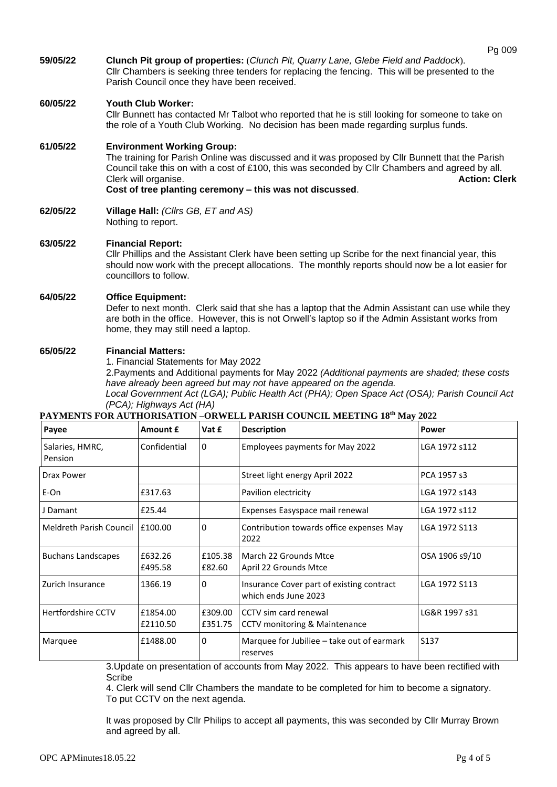**59/05/22 Clunch Pit group of properties:** (*Clunch Pit, Quarry Lane, Glebe Field and Paddock*). Cllr Chambers is seeking three tenders for replacing the fencing. This will be presented to the Parish Council once they have been received.

## **60/05/22 Youth Club Worker:**

Cllr Bunnett has contacted Mr Talbot who reported that he is still looking for someone to take on the role of a Youth Club Working. No decision has been made regarding surplus funds.

## **61/05/22 Environment Working Group:**

The training for Parish Online was discussed and it was proposed by Cllr Bunnett that the Parish Council take this on with a cost of £100, this was seconded by Cllr Chambers and agreed by all.<br>Clerk will organise. **Action: Clerk Clerk will organise. Cost of tree planting ceremony – this was not discussed**.

**62/05/22 Village Hall:** *(Cllrs GB, ET and AS)* Nothing to report.

#### **63/05/22 Financial Report:**

Cllr Phillips and the Assistant Clerk have been setting up Scribe for the next financial year, this should now work with the precept allocations. The monthly reports should now be a lot easier for councillors to follow.

## **64/05/22 Office Equipment:**

Defer to next month. Clerk said that she has a laptop that the Admin Assistant can use while they are both in the office. However, this is not Orwell's laptop so if the Admin Assistant works from home, they may still need a laptop.

## **65/05/22 Financial Matters:**

1. Financial Statements for May 2022

2.Payments and Additional payments for May 2022 *(Additional payments are shaded; these costs have already been agreed but may not have appeared on the agenda.*

*Local Government Act (LGA); Public Health Act (PHA); Open Space Act (OSA); Parish Council Act (PCA); Highways Act (HA)*

## **PAYMENTS FOR AUTHORISATION –ORWELL PARISH COUNCIL MEETING 18th May 2022**

| Payee                             | Amount £             | Vat £              | <b>Description</b>                                                | Power            |
|-----------------------------------|----------------------|--------------------|-------------------------------------------------------------------|------------------|
| Salaries, HMRC,<br>Pension        | Confidential         | $\mathbf{0}$       | Employees payments for May 2022                                   | LGA 1972 s112    |
| Drax Power                        |                      |                    | Street light energy April 2022                                    | PCA 1957 s3      |
| E-On                              | £317.63              |                    | Pavilion electricity                                              | LGA 1972 s143    |
| J Damant                          | £25.44               |                    | Expenses Easyspace mail renewal                                   | LGA 1972 s112    |
| Meldreth Parish Council   £100.00 |                      | $\mathbf{0}$       | Contribution towards office expenses May<br>2022                  | LGA 1972 S113    |
| <b>Buchans Landscapes</b>         | £632.26<br>£495.58   | £105.38<br>£82.60  | March 22 Grounds Mtce<br>April 22 Grounds Mtce                    | OSA 1906 s9/10   |
| Zurich Insurance                  | 1366.19              | $\mathbf{0}$       | Insurance Cover part of existing contract<br>which ends June 2023 | LGA 1972 S113    |
| Hertfordshire CCTV                | £1854.00<br>£2110.50 | £309.00<br>£351.75 | CCTV sim card renewal<br>CCTV monitoring & Maintenance            | LG&R 1997 s31    |
| Marquee                           | £1488.00             | $\mathbf{0}$       | Marquee for Jubiliee – take out of earmark<br>reserves            | S <sub>137</sub> |

3.Update on presentation of accounts from May 2022. This appears to have been rectified with Scribe

4. Clerk will send Cllr Chambers the mandate to be completed for him to become a signatory. To put CCTV on the next agenda.

It was proposed by Cllr Philips to accept all payments, this was seconded by Cllr Murray Brown and agreed by all.